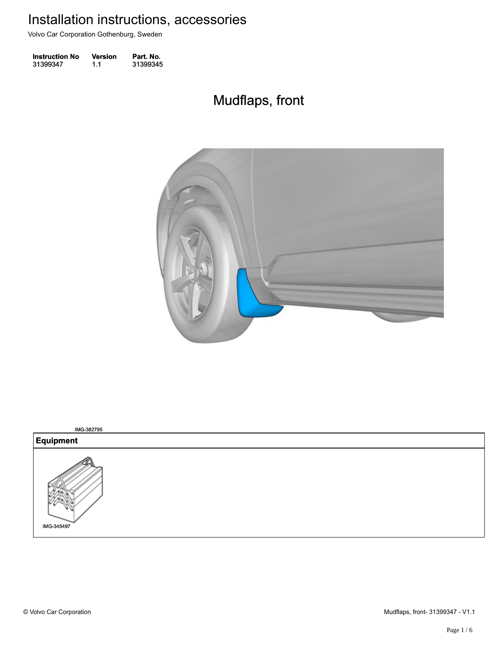Volvo Car Corporation Gothenburg, Sweden

| <b>Instruction No</b> | <b>Version</b> | Part. No. |
|-----------------------|----------------|-----------|
| 31399347              | 1.1            | 31399345  |

## Mudflaps, front Mudflaps, front



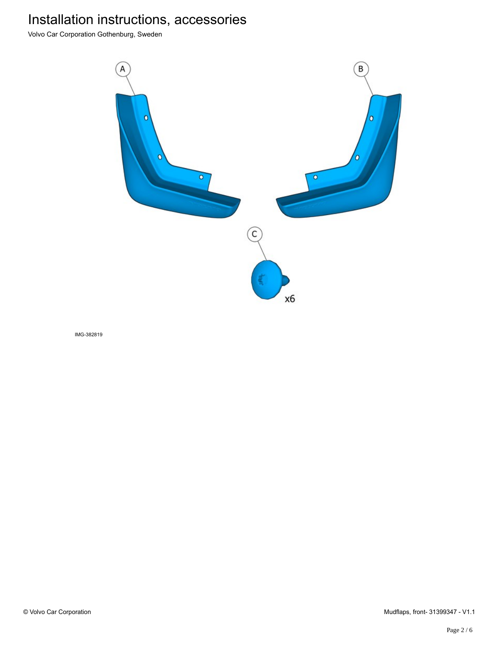Volvo Car Corporation Gothenburg, Sweden



IMG-382819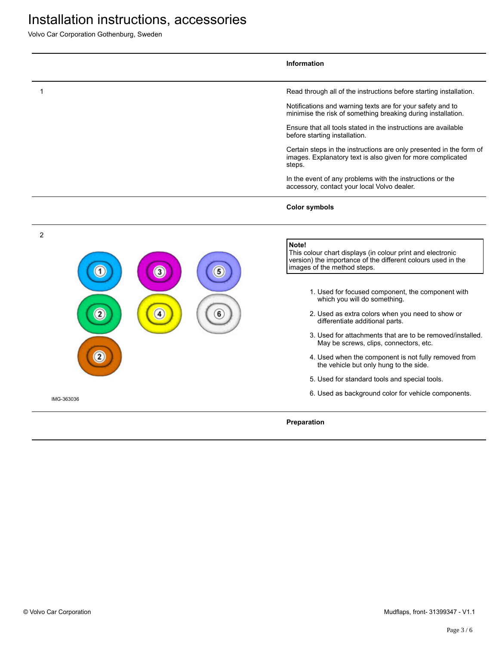Volvo Car Corporation Gothenburg, Sweden

|                | Information                                                                                                                                                        |
|----------------|--------------------------------------------------------------------------------------------------------------------------------------------------------------------|
| 1              | Read through all of the instructions before starting installation.                                                                                                 |
|                | Notifications and warning texts are for your safety and to<br>minimise the risk of something breaking during installation.                                         |
|                | Ensure that all tools stated in the instructions are available<br>before starting installation.                                                                    |
|                | Certain steps in the instructions are only presented in the form of<br>images. Explanatory text is also given for more complicated<br>steps.                       |
|                | In the event of any problems with the instructions or the<br>accessory, contact your local Volvo dealer.                                                           |
|                | <b>Color symbols</b>                                                                                                                                               |
| $\overline{c}$ |                                                                                                                                                                    |
| 3              | Note!<br>This colour chart displays (in colour print and electronic<br>version) the importance of the different colours used in the<br>images of the method steps. |
|                | 1. Used for focused component, the component with<br>which you will do something.                                                                                  |
|                | 2. Used as extra colors when you need to show or<br>differentiate additional parts.                                                                                |
|                | 3. Used for attachments that are to be removed/installed.<br>May be screws, clips, connectors, etc.                                                                |
|                | 4. Used when the component is not fully removed from<br>the vehicle but only hung to the side.                                                                     |
|                | 5. Used for standard tools and special tools.                                                                                                                      |
| IMG-363036     | 6. Used as background color for vehicle components.                                                                                                                |
|                | Preparation                                                                                                                                                        |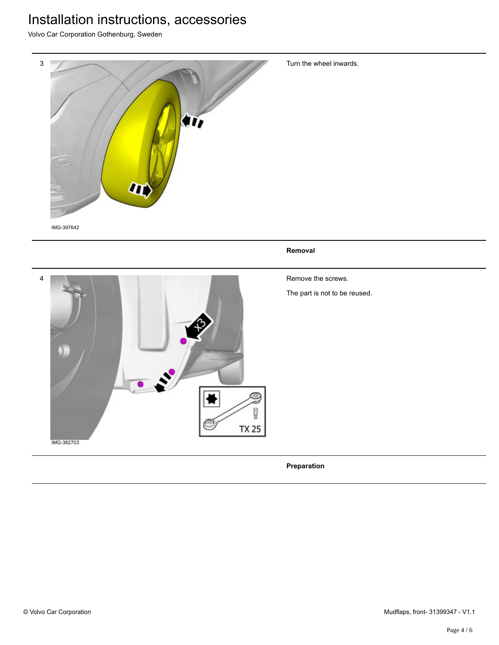Volvo Car Corporation Gothenburg, Sweden



**Preparation**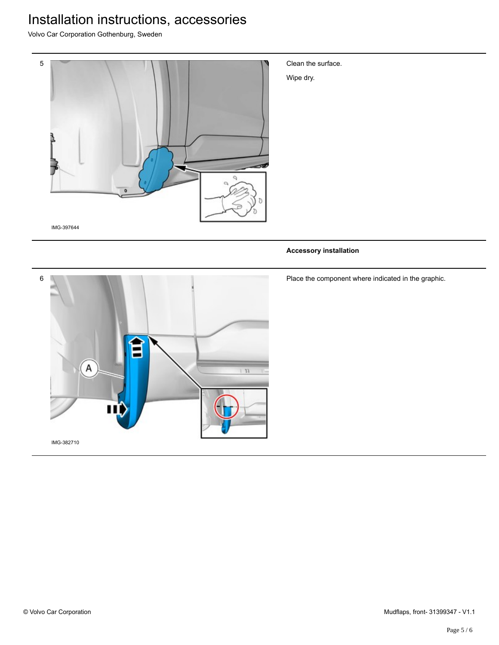Volvo Car Corporation Gothenburg, Sweden



Clean the surface.

Wipe dry.

#### **Accessory installation**



Place the component where indicated in the graphic.